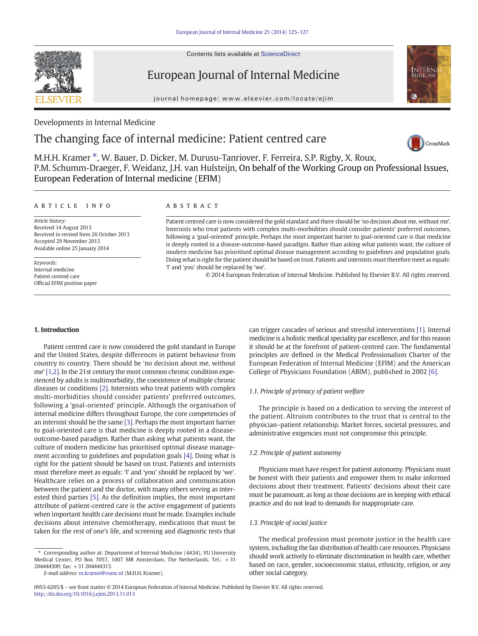Contents lists available at ScienceDirect



European Journal of Internal Medicine

journal homepage: www.elsevier.com/locate/ejim



Developments in Internal Medicine

# The changing face of internal medicine: Patient centred care



M.H.H. Kramer  $*$ , W. Bauer, D. Dicker, M. Durusu-Tanriover, F. Ferreira, S.P. Rigby, X. Roux, P.M. Schumm-Draeger, F. Weidanz, J.H. van Hulsteijn, On behalf of the Working Group on Professional Issues, European Federation of Internal medicine (EFIM)

# article info abstract

Article history: Received 14 August 2013 Received in revised form 26 October 2013 Accepted 29 November 2013 Available online 25 January 2014

Keywords: Internal medicine Patient centred care Official EFIM position paper

Patient centred care is now considered the gold standard and there should be 'no decision about me, without me'. Internists who treat patients with complex multi-morbidities should consider patients' preferred outcomes, following a 'goal-oriented' principle. Perhaps the most important barrier to goal-oriented care is that medicine is deeply rooted in a disease-outcome-based paradigm. Rather than asking what patients want, the culture of modern medicine has prioritised optimal disease management according to guidelines and population goals. Doing what is right for the patient should be based on trust. Patients and internists must therefore meet as equals: 'I' and 'you' should be replaced by 'we'.

© 2014 European Federation of Internal Medicine. Published by Elsevier B.V. All rights reserved.

# 1. Introduction

Patient centred care is now considered the gold standard in Europe and the United States, despite differences in patient behaviour from country to country. There should be 'no decision about me, without me' [\[1,2\]](#page-2-0). In the 21st century the most common chronic condition experienced by adults is multimorbidity, the coexistence of multiple chronic diseases or conditions [\[2\]](#page-2-0). Internists who treat patients with complex multi-morbidities should consider patients' preferred outcomes, following a 'goal-oriented' principle. Although the organisation of internal medicine differs throughout Europe, the core competencies of an internist should be the same [\[3\].](#page-2-0) Perhaps the most important barrier to goal-oriented care is that medicine is deeply rooted in a diseaseoutcome-based paradigm. Rather than asking what patients want, the culture of modern medicine has prioritised optimal disease management according to guidelines and population goals [\[4\]](#page-2-0). Doing what is right for the patient should be based on trust. Patients and internists must therefore meet as equals: 'I' and 'you' should be replaced by 'we'. Healthcare relies on a process of collaboration and communication between the patient and the doctor, with many others serving as interested third parties [\[5\].](#page-2-0) As the definition implies, the most important attribute of patient-centred care is the active engagement of patients when important health care decisions must be made. Examples include decisions about intensive chemotherapy, medications that must be taken for the rest of one's life, and screening and diagnostic tests that

E-mail address: [m.kramer@vumc.nl](mailto:m.kramer@vumc.nl) (M.H.H. Kramer).

can trigger cascades of serious and stressful interventions [\[1\]](#page-2-0). Internal medicine is a holistic medical speciality par excellence, and for this reason it should be at the forefront of patient-centred care. The fundamental principles are defined in the Medical Professionalism Charter of the European Federation of Internal Medicine (EFIM) and the American College of Physicians Foundation (ABIM), published in 2002 [\[6\].](#page-2-0)

### 1.1. Principle of primacy of patient welfare

The principle is based on a dedication to serving the interest of the patient. Altruism contributes to the trust that is central to the physician–patient relationship. Market forces, societal pressures, and administrative exigencies must not compromise this principle.

### 1.2. Principle of patient autonomy

Physicians must have respect for patient autonomy. Physicians must be honest with their patients and empower them to make informed decisions about their treatment. Patients' decisions about their care must be paramount, as long as those decisions are in keeping with ethical practice and do not lead to demands for inappropriate care.

# 1.3. Principle of social justice

The medical profession must promote justice in the health care system, including the fair distribution of health care resources. Physicians should work actively to eliminate discrimination in health care, whether based on race, gender, socioeconomic status, ethnicity, religion, or any other social category.

<sup>⁎</sup> Corresponding author at: Department of Internal Medicine (4A34), VU University Medical Center, PO Box 7057, 1007 MB Amsterdam, The Netherlands. Tel.: +31 204444309; fax: +31 204444313.

<sup>0953-6205/\$</sup> – see front matter © 2014 European Federation of Internal Medicine. Published by Elsevier B.V. All rights reserved. <http://dx.doi.org/10.1016/j.ejim.2013.11.013>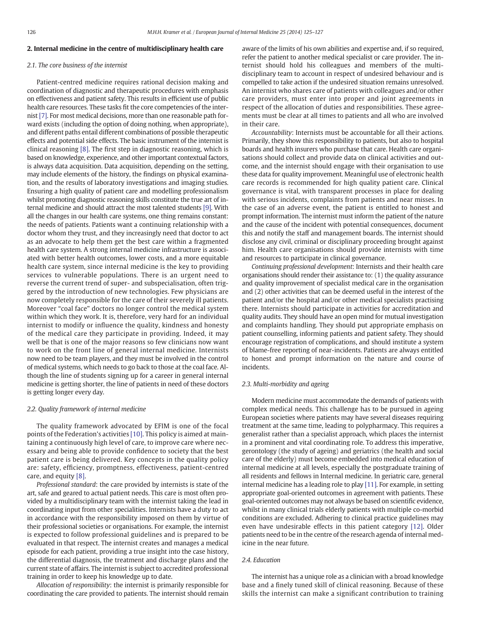#### 2. Internal medicine in the centre of multidisciplinary health care

#### 2.1. The core business of the internist

Patient-centred medicine requires rational decision making and coordination of diagnostic and therapeutic procedures with emphasis on effectiveness and patient safety. This results in efficient use of public health care resources. These tasks fit the core competencies of the internist [\[7\].](#page-2-0) For most medical decisions, more than one reasonable path forward exists (including the option of doing nothing, when appropriate), and different paths entail different combinations of possible therapeutic effects and potential side effects. The basic instrument of the internist is clinical reasoning [\[8\]](#page-2-0). The first step in diagnostic reasoning, which is based on knowledge, experience, and other important contextual factors, is always data acquisition. Data acquisition, depending on the setting, may include elements of the history, the findings on physical examination, and the results of laboratory investigations and imaging studies. Ensuring a high quality of patient care and modelling professionalism whilst promoting diagnostic reasoning skills constitute the true art of internal medicine and should attract the most talented students [\[9\]](#page-2-0). With all the changes in our health care systems, one thing remains constant: the needs of patients. Patients want a continuing relationship with a doctor whom they trust, and they increasingly need that doctor to act as an advocate to help them get the best care within a fragmented health care system. A strong internal medicine infrastructure is associated with better health outcomes, lower costs, and a more equitable health care system, since internal medicine is the key to providing services to vulnerable populations. There is an urgent need to reverse the current trend of super- and subspecialisation, often triggered by the introduction of new technologies. Few physicians are now completely responsible for the care of their severely ill patients. Moreover "coal face" doctors no longer control the medical system within which they work. It is, therefore, very hard for an individual internist to modify or influence the quality, kindness and honesty of the medical care they participate in providing. Indeed, it may well be that is one of the major reasons so few clinicians now want to work on the front line of general internal medicine. Internists now need to be team players, and they must be involved in the control of medical systems, which needs to go back to those at the coal face. Although the line of students signing up for a career in general internal medicine is getting shorter, the line of patients in need of these doctors is getting longer every day.

#### 2.2. Quality framework of internal medicine

The quality framework advocated by EFIM is one of the focal points of the Federation's activities [\[10\].](#page-2-0) This policy is aimed at maintaining a continuously high level of care, to improve care where necessary and being able to provide confidence to society that the best patient care is being delivered. Key concepts in the quality policy are: safety, efficiency, promptness, effectiveness, patient-centred care, and equity [\[8\]](#page-2-0).

Professional standard: the care provided by internists is state of the art, safe and geared to actual patient needs. This care is most often provided by a multidisciplinary team with the internist taking the lead in coordinating input from other specialities. Internists have a duty to act in accordance with the responsibility imposed on them by virtue of their professional societies or organisations. For example, the internist is expected to follow professional guidelines and is prepared to be evaluated in that respect. The internist creates and manages a medical episode for each patient, providing a true insight into the case history, the differential diagnosis, the treatment and discharge plans and the current state of affairs. The internist is subject to accredited professional training in order to keep his knowledge up to date.

Allocation of responsibility: the internist is primarily responsible for coordinating the care provided to patients. The internist should remain aware of the limits of his own abilities and expertise and, if so required, refer the patient to another medical specialist or care provider. The internist should hold his colleagues and members of the multidisciplinary team to account in respect of undesired behaviour and is compelled to take action if the undesired situation remains unresolved. An internist who shares care of patients with colleagues and/or other care providers, must enter into proper and joint agreements in respect of the allocation of duties and responsibilities. These agreements must be clear at all times to patients and all who are involved in their care.

Accountability: Internists must be accountable for all their actions. Primarily, they show this responsibility to patients, but also to hospital boards and health insurers who purchase that care. Health care organisations should collect and provide data on clinical activities and outcome, and the internist should engage with their organisation to use these data for quality improvement. Meaningful use of electronic health care records is recommended for high quality patient care. Clinical governance is vital, with transparent processes in place for dealing with serious incidents, complaints from patients and near misses. In the case of an adverse event, the patient is entitled to honest and prompt information. The internist must inform the patient of the nature and the cause of the incident with potential consequences, document this and notify the staff and management boards. The internist should disclose any civil, criminal or disciplinary proceeding brought against him. Health care organisations should provide internists with time and resources to participate in clinical governance.

Continuing professional development: Internists and their health care organisations should render their assistance to: (1) the quality assurance and quality improvement of specialist medical care in the organisation and (2) other activities that can be deemed useful in the interest of the patient and/or the hospital and/or other medical specialists practising there. Internists should participate in activities for accreditation and quality audits. They should have an open mind for mutual investigation and complaints handling. They should put appropriate emphasis on patient counselling, informing patients and patient safety. They should encourage registration of complications, and should institute a system of blame-free reporting of near-incidents. Patients are always entitled to honest and prompt information on the nature and course of incidents.

## 2.3. Multi-morbidity and ageing

Modern medicine must accommodate the demands of patients with complex medical needs. This challenge has to be pursued in ageing European societies where patients may have several diseases requiring treatment at the same time, leading to polypharmacy. This requires a generalist rather than a specialist approach, which places the internist in a prominent and vital coordinating role. To address this imperative, gerontology (the study of ageing) and geriatrics (the health and social care of the elderly) must become embedded into medical education of internal medicine at all levels, especially the postgraduate training of all residents and fellows in Internal medicine. In geriatric care, general internal medicine has a leading role to play [\[11\]](#page-2-0). For example, in setting appropriate goal-oriented outcomes in agreement with patients. These goal-oriented outcomes may not always be based on scientific evidence, whilst in many clinical trials elderly patients with multiple co-morbid conditions are excluded. Adhering to clinical practice guidelines may even have undesirable effects in this patient category [\[12\].](#page-2-0) Older patients need to be in the centre of the research agenda of internal medicine in the near future.

# 2.4. Education

The internist has a unique role as a clinician with a broad knowledge base and a finely tuned skill of clinical reasoning. Because of these skills the internist can make a significant contribution to training